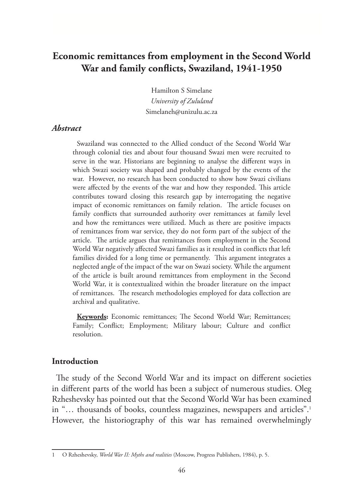# **Economic remittances from employment in the Second World War and family conflicts, Swaziland, 1941-1950**

Hamilton S Simelane *University of Zululand* Simelaneh@unizulu.ac.za

#### *Abstract*

Swaziland was connected to the Allied conduct of the Second World War through colonial ties and about four thousand Swazi men were recruited to serve in the war. Historians are beginning to analyse the different ways in which Swazi society was shaped and probably changed by the events of the war. However, no research has been conducted to show how Swazi civilians were affected by the events of the war and how they responded. This article contributes toward closing this research gap by interrogating the negative impact of economic remittances on family relation. The article focuses on family conflicts that surrounded authority over remittances at family level and how the remittances were utilized. Much as there are positive impacts of remittances from war service, they do not form part of the subject of the article. The article argues that remittances from employment in the Second World War negatively affected Swazi families as it resulted in conflicts that left families divided for a long time or permanently. This argument integrates a neglected angle of the impact of the war on Swazi society. While the argument of the article is built around remittances from employment in the Second World War, it is contextualized within the broader literature on the impact of remittances. The research methodologies employed for data collection are archival and qualitative.

**Keywords:** Economic remittances; The Second World War; Remittances; Family; Conflict; Employment; Military labour; Culture and conflict resolution.

#### **Introduction**

The study of the Second World War and its impact on different societies in different parts of the world has been a subject of numerous studies. Oleg Rzheshevsky has pointed out that the Second World War has been examined in "... thousands of books, countless magazines, newspapers and articles".<sup>1</sup> However, the historiography of this war has remained overwhelmingly

<sup>1</sup> O Rzheshevsky, *World War II: Myths and realities* (Moscow, Progress Publishers, 1984), p. 5.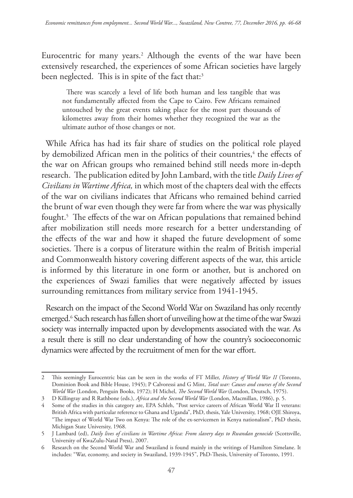Eurocentric for many years.2 Although the events of the war have been extensively researched, the experiences of some African societies have largely been neglected. This is in spite of the fact that:<sup>3</sup>

There was scarcely a level of life both human and less tangible that was not fundamentally affected from the Cape to Cairo. Few Africans remained untouched by the great events taking place for the most part thousands of kilometres away from their homes whether they recognized the war as the ultimate author of those changes or not.

While Africa has had its fair share of studies on the political role played by demobilized African men in the politics of their countries,<sup>4</sup> the effects of the war on African groups who remained behind still needs more in-depth research. The publication edited by John Lambard, with the title *Daily Lives of Civilians in Wartime Africa,* in which most of the chapters deal with the effects of the war on civilians indicates that Africans who remained behind carried the brunt of war even though they were far from where the war was physically fought.5 The effects of the war on African populations that remained behind after mobilization still needs more research for a better understanding of the effects of the war and how it shaped the future development of some societies. There is a corpus of literature within the realm of British imperial and Commonwealth history covering different aspects of the war, this article is informed by this literature in one form or another, but is anchored on the experiences of Swazi families that were negatively affected by issues surrounding remittances from military service from 1941-1945.

Research on the impact of the Second World War on Swaziland has only recently emerged.6 Such research has fallen short of unveiling how at the time of the war Swazi society was internally impacted upon by developments associated with the war. As a result there is still no clear understanding of how the country's socioeconomic dynamics were affected by the recruitment of men for the war effort.

<sup>2</sup> This seemingly Eurocentric bias can be seen in the works of FT Miller, *History of World War II* (Toronto, Dominion Book and Bible House, 1945); P Calvoressi and G Mint, *Total war: Causes and courses of the Second World War* (London, Penguin Books, 1972); H Michel, *The Second World War* (London, Deutsch, 1975).

<sup>3</sup> D Killingray and R Rathbone (eds.), *Africa and the Second World War* (London, Macmillan, 1986), p. 5.

<sup>4</sup> Some of the studies in this category are, EPA Schleh, "Post service careers of African World War II veterans: British Africa with particular reference to Ghana and Uganda", PhD, thesis, Yale University, 1968; OJE Shiroya, "The impact of World War Two on Kenya: The role of the ex-servicemen in Kenya nationalism", PhD thesis, Michigan State University, 1968.

<sup>5</sup> J Lambard (ed), *Daily lives of civilians in Wartime Africa: From slavery days to Rwandan genocide* (Scottsville, University of KwaZulu-Natal Press), 2007.

<sup>6</sup> Research on the Second World War and Swaziland is found mainly in the writings of Hamilton Simelane. It includes: "War, economy, and society in Swaziland, 1939-1945", PhD-Thesis, University of Toronto, 1991.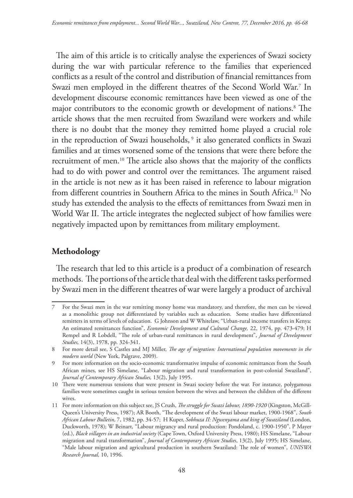The aim of this article is to critically analyse the experiences of Swazi society during the war with particular reference to the families that experienced conflicts as a result of the control and distribution of financial remittances from Swazi men employed in the different theatres of the Second World War.7 In development discourse economic remittances have been viewed as one of the major contributors to the economic growth or development of nations.8 The article shows that the men recruited from Swaziland were workers and while there is no doubt that the money they remitted home played a crucial role in the reproduction of Swazi households, 9 it also generated conflicts in Swazi families and at times worsened some of the tensions that were there before the recruitment of men.10 The article also shows that the majority of the conflicts had to do with power and control over the remittances. The argument raised in the article is not new as it has been raised in reference to labour migration from different countries in Southern Africa to the mines in South Africa.11 No study has extended the analysis to the effects of remittances from Swazi men in World War II. The article integrates the neglected subject of how families were negatively impacted upon by remittances from military employment.

## **Methodology**

The research that led to this article is a product of a combination of research methods. The portions of the article that deal with the different tasks performed by Swazi men in the different theatres of war were largely a product of archival

<sup>7</sup> For the Swazi men in the war remitting money home was mandatory, and therefore, the men can be viewed as a monolithic group not differentiated by variables such as education. Some studies have differentiated remitters in terms of levels of education. G Johnson and W Whitelaw, "Urban-rural income transfers in Kenya: An estimated remittances function", *Economic Development and Cultural Change,* 22, 1974, pp. 473-479; H Rempel and R Lobdell, "The role of urban-rural remittances in rural development", *Journal of Development Studies,* 14(3), 1978, pp. 324-341.

<sup>8</sup> For more detail see, S Castles and MJ Miller, *The age of migration: International population movements in the modern world* (New York, Palgrave, 2009).

<sup>9</sup> For more information on the socio-economic transformative impulse of economic remittances from the South African mines, see HS Simelane, "Labour migration and rural transformation in post-colonial Swaziland", *Journal of Contemporary African Studies,* 13(2), July 1995.

<sup>10</sup> There were numerous tensions that were present in Swazi society before the war. For instance, polygamous families were sometimes caught in serious tension between the wives and between the children of the different wives.

<sup>11</sup> For more information on this subject see, JS Crush, *The struggle for Swazi labour, 1890-1920* (Kingston, McGill-Queen's University Press, 1987); AR Booth, "The development of the Swazi labour market, 1900-1968", *South African Labour Bulletin,* 7, 1982, pp. 34-57; H Kuper, *Sobhuza II: Ngwenyama and king of Swaziland* (London, Duckworth, 1978); W Beinart, "Labour migrancy and rural production: Pondoland, c. 1900-1950", P Mayer (ed.), *Black villagers in an industrial society* (Cape Town, Oxford University Press, 1980); HS Simelane, "Labour migration and rural transformation", *Journal of Contemporary African Studies*, 13(2), July 1995; HS Simelane, "Male labour migration and agricultural production in southern Swaziland: The role of women", *UNISWA Research Journal,* 10, 1996.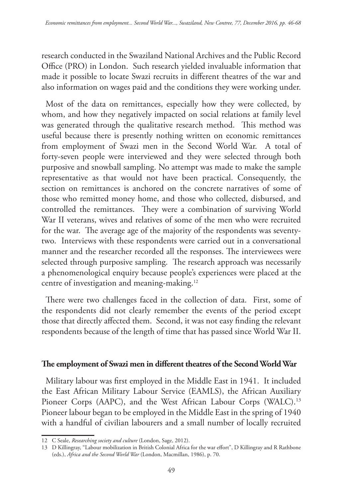research conducted in the Swaziland National Archives and the Public Record Office (PRO) in London. Such research yielded invaluable information that made it possible to locate Swazi recruits in different theatres of the war and also information on wages paid and the conditions they were working under.

Most of the data on remittances, especially how they were collected, by whom, and how they negatively impacted on social relations at family level was generated through the qualitative research method. This method was useful because there is presently nothing written on economic remittances from employment of Swazi men in the Second World War. A total of forty-seven people were interviewed and they were selected through both purposive and snowball sampling. No attempt was made to make the sample representative as that would not have been practical. Consequently, the section on remittances is anchored on the concrete narratives of some of those who remitted money home, and those who collected, disbursed, and controlled the remittances. They were a combination of surviving World War II veterans, wives and relatives of some of the men who were recruited for the war. The average age of the majority of the respondents was seventytwo. Interviews with these respondents were carried out in a conversational manner and the researcher recorded all the responses. The interviewees were selected through purposive sampling. The research approach was necessarily a phenomenological enquiry because people's experiences were placed at the centre of investigation and meaning-making.12

There were two challenges faced in the collection of data. First, some of the respondents did not clearly remember the events of the period except those that directly affected them. Second, it was not easy finding the relevant respondents because of the length of time that has passed since World War II.

#### **The employment of Swazi men in different theatres of the Second World War**

Military labour was first employed in the Middle East in 1941. It included the East African Military Labour Service (EAMLS), the African Auxiliary Pioneer Corps (AAPC), and the West African Labour Corps (WALC).<sup>13</sup> Pioneer labour began to be employed in the Middle East in the spring of 1940 with a handful of civilian labourers and a small number of locally recruited

<sup>12</sup> C Seale, *Researching society and culture* (London, Sage, 2012).

<sup>13</sup> D Killingray, "Labour mobilization in British Colonial Africa for the war effort", D Killingray and R Rathbone (eds.), *Africa and the Second World War* (London, Macmillan, 1986), p. 70.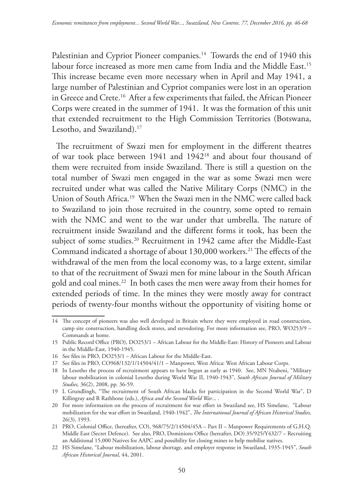Palestinian and Cypriot Pioneer companies.<sup>14</sup> Towards the end of 1940 this labour force increased as more men came from India and the Middle East.<sup>15</sup> This increase became even more necessary when in April and May 1941, a large number of Palestinian and Cypriot companies were lost in an operation in Greece and Crete.<sup>16</sup> After a few experiments that failed, the African Pioneer Corps were created in the summer of 1941. It was the formation of this unit that extended recruitment to the High Commission Territories (Botswana, Lesotho, and Swaziland).<sup>17</sup>

The recruitment of Swazi men for employment in the different theatres of war took place between 1941 and 194218 and about four thousand of them were recruited from inside Swaziland. There is still a question on the total number of Swazi men engaged in the war as some Swazi men were recruited under what was called the Native Military Corps (NMC) in the Union of South Africa.19 When the Swazi men in the NMC were called back to Swaziland to join those recruited in the country, some opted to remain with the NMC and went to the war under that umbrella. The nature of recruitment inside Swaziland and the different forms it took, has been the subject of some studies.<sup>20</sup> Recruitment in 1942 came after the Middle-East Command indicated a shortage of about 130,000 workers.<sup>21</sup> The effects of the withdrawal of the men from the local economy was, to a large extent, similar to that of the recruitment of Swazi men for mine labour in the South African gold and coal mines.22 In both cases the men were away from their homes for extended periods of time. In the mines they were mostly away for contract periods of twenty-four months without the opportunity of visiting home or

<sup>14</sup> The concept of pioneers was also well developed in Britain where they were employed in road construction, camp site construction, handling dock stores, and stevedoring. For more information see, PRO, WO253/9 – Commands at home.

<sup>15</sup> Public Record Office (PRO), DO253/1 – African Labour for the Middle-East: History of Pioneers and Labour in the Middle-East, 1940-1945.

<sup>16</sup> See files in PRO, DO253/1 – African Labour for the Middle-East.

<sup>17</sup> See files in PRO, CO968/132/1/14504/41/1 – Manpower, West Africa: West African Labour Corps.

<sup>18</sup> In Lesotho the process of recruitment appears to have begun as early as 1940. See, MN Ntabeni, "Military labour mobilization in colonial Lesotho during World War II, 1940-1943", *South African Journal of Military Studies,* 36(2), 2008, pp. 36-59.

<sup>19</sup> L Grundlingh, "The recruitment of South African blacks for participation in the Second World War", D Killingray and R Rathbone (eds.), *Africa and the Second World War*... .

<sup>20</sup> For more information on the process of recruitment for war effort in Swaziland see, HS Simelane, "Labour mobilization for the war effort in Swaziland, 1940-1942", *The International Journal of African Historical Studies,*  26(3), 1993.

<sup>21</sup> PRO, Colonial Office, (hereafter, CO), 968/75/2/14504/45A – Part II – Manpower Requirements of G.H.Q. Middle East (Secret Defence). See also, PRO, Dominions Office (hereafter, DO) 35/925/Y432/7 – Recruiting an Additional 15,000 Natives for AAPC and possibility for closing mines to help mobilise natives.

<sup>22</sup> HS Simelane, "Labour mobilization, labour shortage, and employer response in Swaziland, 1935-1945", *South African Historical Journal,* 44, 2001.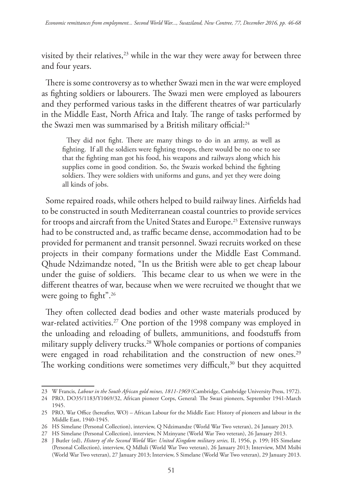visited by their relatives, $23$  while in the war they were away for between three and four years.

There is some controversy as to whether Swazi men in the war were employed as fighting soldiers or labourers. The Swazi men were employed as labourers and they performed various tasks in the different theatres of war particularly in the Middle East, North Africa and Italy. The range of tasks performed by the Swazi men was summarised by a British military official:<sup>24</sup>

They did not fight. There are many things to do in an army, as well as fighting. If all the soldiers were fighting troops, there would be no one to see that the fighting man got his food, his weapons and railways along which his supplies come in good condition. So, the Swazis worked behind the fighting soldiers. They were soldiers with uniforms and guns, and yet they were doing all kinds of jobs.

Some repaired roads, while others helped to build railway lines. Airfields had to be constructed in south Mediterranean coastal countries to provide services for troops and aircraft from the United States and Europe.25 Extensive runways had to be constructed and, as traffic became dense, accommodation had to be provided for permanent and transit personnel. Swazi recruits worked on these projects in their company formations under the Middle East Command. Qhude Ndzimandze noted, "In us the British were able to get cheap labour under the guise of soldiers. This became clear to us when we were in the different theatres of war, because when we were recruited we thought that we were going to fight".<sup>26</sup>

They often collected dead bodies and other waste materials produced by war-related activities.<sup>27</sup> One portion of the 1998 company was employed in the unloading and reloading of bullets, ammunitions, and foodstuffs from military supply delivery trucks.28 Whole companies or portions of companies were engaged in road rehabilitation and the construction of new ones.<sup>29</sup> The working conditions were sometimes very difficult,<sup>30</sup> but they acquitted

<sup>23</sup> W Francis, *Labour in the South African gold mines, 1811-1969* (Cambridge, Cambridge University Press, 1972).

<sup>24</sup> PRO, DO35/1183/Y1069/32, African pioneer Corps, General: The Swazi pioneers, September 1941-March 1945.

<sup>25</sup> PRO, War Office (hereafter, WO) – African Labour for the Middle East: History of pioneers and labour in the Middle East, 1940-1945.

<sup>26</sup> HS Simelane (Personal Collection), interview, Q Ndzimandze (World War Two veteran), 24 January 2013.

<sup>27</sup> HS Simelane (Personal Collection), interview, N Mzinyane (World War Two veteran), 26 January 2013.

<sup>28</sup> J Butler (ed), *History of the Second World War: United Kingdom military series,* II, 1956, p. 199; HS Simelane (Personal Collection), interview, Q Mdluli (World War Two veteran), 26 January 2013; Interview, MM Msibi (World War Two veteran), 27 January 2013; Interview, S Simelane (World War Two veteran), 29 January 2013.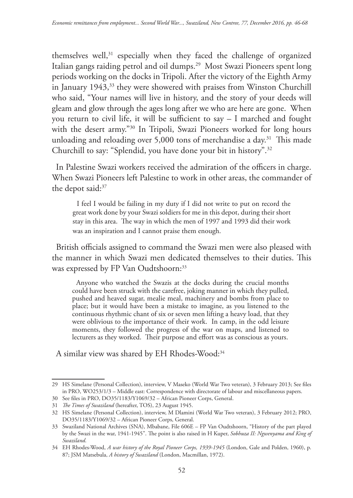themselves well,<sup>31</sup> especially when they faced the challenge of organized Italian gangs raiding petrol and oil dumps.29 Most Swazi Pioneers spent long periods working on the docks in Tripoli. After the victory of the Eighth Army in January 1943,<sup>33</sup> they were showered with praises from Winston Churchill who said, "Your names will live in history, and the story of your deeds will gleam and glow through the ages long after we who are here are gone. When you return to civil life, it will be sufficient to say – I marched and fought with the desert army."30 In Tripoli, Swazi Pioneers worked for long hours unloading and reloading over 5,000 tons of merchandise a day.<sup>31</sup> This made Churchill to say: "Splendid, you have done your bit in history".32

In Palestine Swazi workers received the admiration of the officers in charge. When Swazi Pioneers left Palestine to work in other areas, the commander of the depot said:<sup>37</sup>

I feel I would be failing in my duty if I did not write to put on record the great work done by your Swazi soldiers for me in this depot, during their short stay in this area. The way in which the men of 1997 and 1993 did their work was an inspiration and I cannot praise them enough.

British officials assigned to command the Swazi men were also pleased with the manner in which Swazi men dedicated themselves to their duties. This was expressed by FP Van Oudtshoorn:<sup>33</sup>

Anyone who watched the Swazis at the docks during the crucial months could have been struck with the carefree, joking manner in which they pulled, pushed and heaved sugar, mealie meal, machinery and bombs from place to place; but it would have been a mistake to imagine, as you listened to the continuous rhythmic chant of six or seven men lifting a heavy load, that they were oblivious to the importance of their work. In camp, in the odd leisure moments, they followed the progress of the war on maps, and listened to lecturers as they worked. Their purpose and effort was as conscious as yours.

A similar view was shared by EH Rhodes-Wood:34

<sup>29</sup> HS Simelane (Personal Collection), interview, V Maseko (World War Two veteran), 3 February 2013; See files in PRO, WO253/1/3 – Middle east: Correspondence with directorate of labour and miscellaneous papers.

<sup>30</sup> See files in PRO, DO35/1183/Y1069/32 – African Pioneer Corps, General.

<sup>31</sup> *The Times of Swaziland* (hereafter, TOS), 23 August 1945.

<sup>32</sup> HS Simelane (Personal Collection), interview, M Dlamini (World War Two veteran), 3 February 2012; PRO, DO35/1183/Y1069/32 – African Pioneer Corps, General.

<sup>33</sup> Swaziland National Archives (SNA), Mbabane, File 606E – FP Van Oudtshoorn, "History of the part played by the Swazi in the war, 1941-1945". The point is also raised in H Kuper, *Sobhuza II: Ngwenyama and King of Swaziland*.

<sup>34</sup> EH Rhodes-Wood, *A war history of the Royal Pioneer Corps, 1939-1945* (London, Gale and Polden, 1960), p. 87; JSM Matsebula, *A history of Swaziland* (London, Macmillan, 1972).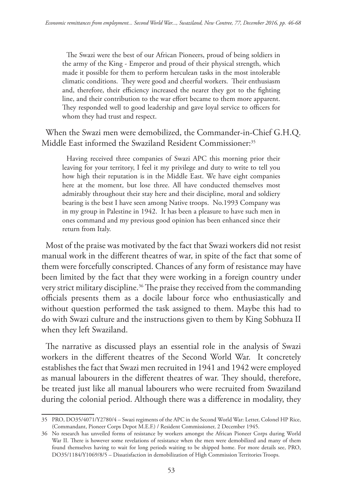The Swazi were the best of our African Pioneers, proud of being soldiers in the army of the King - Emperor and proud of their physical strength, which made it possible for them to perform herculean tasks in the most intolerable climatic conditions. They were good and cheerful workers. Their enthusiasm and, therefore, their efficiency increased the nearer they got to the fighting line, and their contribution to the war effort became to them more apparent. They responded well to good leadership and gave loyal service to officers for whom they had trust and respect.

When the Swazi men were demobilized, the Commander-in-Chief G.H.Q. Middle East informed the Swaziland Resident Commissioner:<sup>35</sup>

Having received three companies of Swazi APC this morning prior their leaving for your territory, I feel it my privilege and duty to write to tell you how high their reputation is in the Middle East. We have eight companies here at the moment, but lose three. All have conducted themselves most admirably throughout their stay here and their discipline, moral and soldiery bearing is the best I have seen among Native troops. No.1993 Company was in my group in Palestine in 1942. It has been a pleasure to have such men in ones command and my previous good opinion has been enhanced since their return from Italy.

Most of the praise was motivated by the fact that Swazi workers did not resist manual work in the different theatres of war, in spite of the fact that some of them were forcefully conscripted. Chances of any form of resistance may have been limited by the fact that they were working in a foreign country under very strict military discipline.<sup>36</sup> The praise they received from the commanding officials presents them as a docile labour force who enthusiastically and without question performed the task assigned to them. Maybe this had to do with Swazi culture and the instructions given to them by King Sobhuza II when they left Swaziland.

The narrative as discussed plays an essential role in the analysis of Swazi workers in the different theatres of the Second World War. It concretely establishes the fact that Swazi men recruited in 1941 and 1942 were employed as manual labourers in the different theatres of war. They should, therefore, be treated just like all manual labourers who were recruited from Swaziland during the colonial period. Although there was a difference in modality, they

<sup>35</sup> PRO, DO35/4071/Y2780/4 – Swazi regiments of the APC in the Second World War: Letter, Colonel HP Rice, (Commandant, Pioneer Corps Depot M.E.F.) / Resident Commissioner, 2 December 1945.

<sup>36</sup> No research has unveiled forms of resistance by workers amongst the African Pioneer Corps during World War II. There is however some revelations of resistance when the men were demobilized and many of them found themselves having to wait for long periods waiting to be shipped home. For more details see, PRO, DO35/1184/Y1069/8/5 – Dissatisfaction in demobilization of High Commission Territories Troops.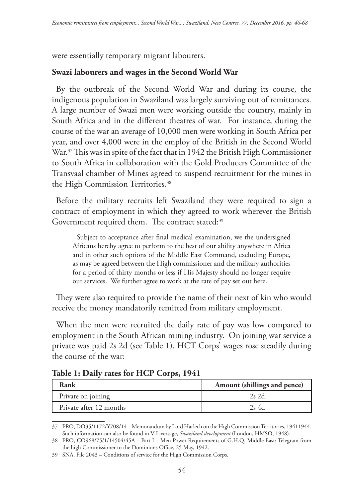were essentially temporary migrant labourers.

## **Swazi labourers and wages in the Second World War**

By the outbreak of the Second World War and during its course, the indigenous population in Swaziland was largely surviving out of remittances. A large number of Swazi men were working outside the country, mainly in South Africa and in the different theatres of war. For instance, during the course of the war an average of 10,000 men were working in South Africa per year, and over 4,000 were in the employ of the British in the Second World War.<sup>37</sup> This was in spite of the fact that in 1942 the British High Commissioner to South Africa in collaboration with the Gold Producers Committee of the Transvaal chamber of Mines agreed to suspend recruitment for the mines in the High Commission Territories.<sup>38</sup>

Before the military recruits left Swaziland they were required to sign a contract of employment in which they agreed to work wherever the British Government required them. The contract stated:<sup>39</sup>

Subject to acceptance after final medical examination, we the undersigned Africans hereby agree to perform to the best of our ability anywhere in Africa and in other such options of the Middle East Command, excluding Europe, as may be agreed between the High commissioner and the military authorities for a period of thirty months or less if His Majesty should no longer require our services. We further agree to work at the rate of pay set out here.

They were also required to provide the name of their next of kin who would receive the money mandatorily remitted from military employment.

When the men were recruited the daily rate of pay was low compared to employment in the South African mining industry. On joining war service a private was paid 2s 2d (see Table 1). HCT Corps' wages rose steadily during the course of the war:

**Table 1: Daily rates for HCP Corps, 1941**

| Rank                    | Amount (shillings and pence) |
|-------------------------|------------------------------|
| Private on joining      | $2s$ 2d                      |
| Private after 12 months | 2s 4d                        |

<sup>37</sup> PRO, DO35/1172/Y708/14 – Memorandum by Lord Harlech on the High Commission Territories, 19411944. Such information can also be found in V Liversage, *Swaziland development* (London, HMSO, 1948).

<sup>38</sup> PRO, CO968/75/1/14504/45A – Part I – Men Power Requirements of G.H.Q. Middle East: Telegram from the high Commissioner to the Dominions Office, 25 May, 1942.

<sup>39</sup> SNA, File 2043 – Conditions of service for the High Commission Corps.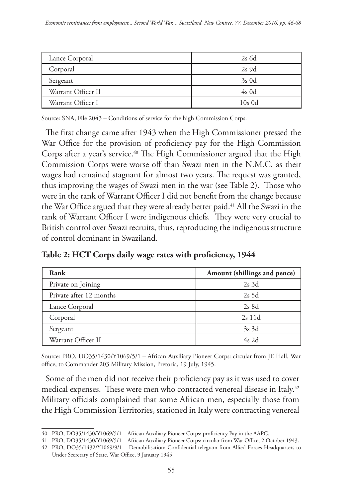| Lance Corporal     | $2s$ 6d  |
|--------------------|----------|
| Corporal           | $2s$ 9d  |
| Sergeant           | $3s$ 0d  |
| Warrant Officer II | $4s$ 0d  |
| Warrant Officer I  | $10s$ 0d |

Source: SNA, File 2043 – Conditions of service for the high Commission Corps.

The first change came after 1943 when the High Commissioner pressed the War Office for the provision of proficiency pay for the High Commission Corps after a year's service.40 The High Commissioner argued that the High Commission Corps were worse off than Swazi men in the N.M.C. as their wages had remained stagnant for almost two years. The request was granted, thus improving the wages of Swazi men in the war (see Table 2). Those who were in the rank of Warrant Officer I did not benefit from the change because the War Office argued that they were already better paid.<sup>41</sup> All the Swazi in the rank of Warrant Officer I were indigenous chiefs. They were very crucial to British control over Swazi recruits, thus, reproducing the indigenous structure of control dominant in Swaziland.

| Table 2: HCT Corps daily wage rates with proficiency, 1944 |  |
|------------------------------------------------------------|--|
|                                                            |  |

| Rank                    | Amount (shillings and pence) |
|-------------------------|------------------------------|
| Private on Joining      | $2s$ 3d                      |
| Private after 12 months | $2s$ 5d                      |
| Lance Corporal          | $2s$ 8d                      |
| Corporal                | $2s$ 11d                     |
| Sergeant                | $3s$ 3d                      |
| Warrant Officer II      | $4s$ 2d                      |

Source: PRO, DO35/1430/Y1069/5/1 – African Auxiliary Pioneer Corps: circular from JE Hall, War office, to Commander 203 Military Mission, Pretoria, 19 July, 1945.

Some of the men did not receive their proficiency pay as it was used to cover medical expenses. These were men who contracted venereal disease in Italy.<sup>42</sup> Military officials complained that some African men, especially those from the High Commission Territories, stationed in Italy were contracting venereal

<sup>40</sup> PRO, DO35/1430/Y1069/5/1 – African Auxiliary Pioneer Corps: proficiency Pay in the AAPC.

<sup>41</sup> PRO, DO35/1430/Y1069/5/1 – African Auxiliary Pioneer Corps: circular from War Office, 2 October 1943.

<sup>42</sup> PRO, DO35/1432/Y1069/9/1 – Demobilisation: Confidential telegram from Allied Forces Headquarters to Under Secretary of State, War Office, 9 January 1945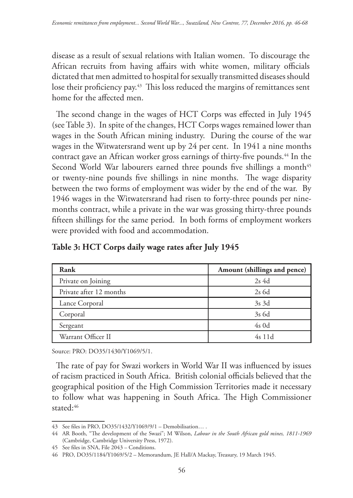disease as a result of sexual relations with Italian women. To discourage the African recruits from having affairs with white women, military officials dictated that men admitted to hospital for sexually transmitted diseases should lose their proficiency pay.<sup>43</sup> This loss reduced the margins of remittances sent home for the affected men.

The second change in the wages of HCT Corps was effected in July 1945 (see Table 3). In spite of the changes, HCT Corps wages remained lower than wages in the South African mining industry. During the course of the war wages in the Witwatersrand went up by 24 per cent. In 1941 a nine months contract gave an African worker gross earnings of thirty-five pounds.<sup>44</sup> In the Second World War labourers earned three pounds five shillings a month<sup>45</sup> or twenty-nine pounds five shillings in nine months. The wage disparity between the two forms of employment was wider by the end of the war. By 1946 wages in the Witwatersrand had risen to forty-three pounds per ninemonths contract, while a private in the war was grossing thirty-three pounds fifteen shillings for the same period. In both forms of employment workers were provided with food and accommodation.

| Rank                    | Amount (shillings and pence) |
|-------------------------|------------------------------|
| Private on Joining      | $2s$ 4d                      |
| Private after 12 months | $2s$ 6d                      |
| Lance Corporal          | $3s$ 3d                      |
| Corporal                | 3s 6d                        |
| Sergeant                | $4s$ 0d                      |
| Warrant Officer II      | $4s$ 11d                     |

### **Table 3: HCT Corps daily wage rates after July 1945**

Source: PRO: DO35/1430/Y1069/5/1.

The rate of pay for Swazi workers in World War II was influenced by issues of racism practiced in South Africa. British colonial officials believed that the geographical position of the High Commission Territories made it necessary to follow what was happening in South Africa. The High Commissioner stated:46

<sup>43</sup> See files in PRO, DO35/1432/Y1069/9/1 – Demobilisation… .

<sup>44</sup> AR Booth, "The development of the Swazi"; M Wilson, *Labour in the South African gold mines, 1811-1969* (Cambridge, Cambridge University Press, 1972).

<sup>45</sup> See files in SNA, File 2043 – Conditions.

<sup>46</sup> PRO, DO35/1184/Y1069/5/2 – Memorandum, JE Hall/A Mackay, Treasury, 19 March 1945.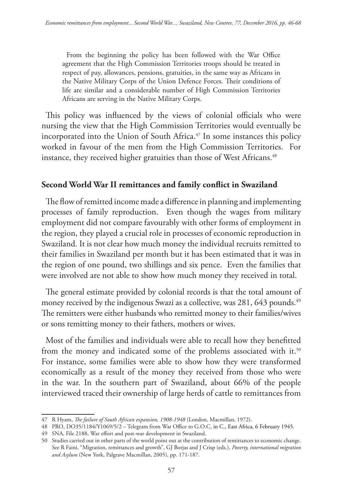From the beginning the policy has been followed with the War Office agreement that the High Commission Territories troops should be treated in respect of pay, allowances, pensions, gratuities, in the same way as Africans in the Native Military Corps of the Union Defence Forces. Their conditions of life are similar and a considerable number of High Commission Territories Africans are serving in the Native Military Corps.

This policy was influenced by the views of colonial officials who were nursing the view that the High Commission Territories would eventually be incorporated into the Union of South Africa.<sup>47</sup> In some instances this policy worked in favour of the men from the High Commission Territories. For instance, they received higher gratuities than those of West Africans.<sup>48</sup>

### **Second World War II remittances and family conflict in Swaziland**

The flow of remitted income made a difference in planning and implementing processes of family reproduction. Even though the wages from military employment did not compare favourably with other forms of employment in the region, they played a crucial role in processes of economic reproduction in Swaziland. It is not clear how much money the individual recruits remitted to their families in Swaziland per month but it has been estimated that it was in the region of one pound, two shillings and six pence. Even the families that were involved are not able to show how much money they received in total.

The general estimate provided by colonial records is that the total amount of money received by the indigenous Swazi as a collective, was 281, 643 pounds.<sup>49</sup> The remitters were either husbands who remitted money to their families/wives or sons remitting money to their fathers, mothers or wives.

Most of the families and individuals were able to recall how they benefitted from the money and indicated some of the problems associated with it.<sup>50</sup> For instance, some families were able to show how they were transformed economically as a result of the money they received from those who were in the war. In the southern part of Swaziland, about 66% of the people interviewed traced their ownership of large herds of cattle to remittances from

<sup>47</sup> R Hyam, *The failure of South African expansion, 1908-1948* (London, Macmillan, 1972).

<sup>48</sup> PRO, DO35/1184/Y1069/5/2 – Telegram from War Office to G.O.C, in C., East Africa, 6 February 1945.

<sup>49</sup> SNA, File 2188, War effort and post-war development in Swaziland.

<sup>50</sup> Studies carried out in other parts of the world point out at the contribution of remittances to economic change. See R Faini, "Migration, remittances and growth", GJ Borjas and J Crisp (eds.), *Poverty, international migration and Asylum* (New York, Palgrave Macmillan, 2005), pp. 171-187.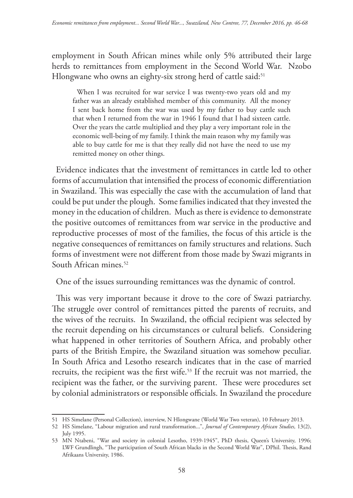employment in South African mines while only 5% attributed their large herds to remittances from employment in the Second World War. Nzobo Hlongwane who owns an eighty-six strong herd of cattle said:<sup>51</sup>

When I was recruited for war service I was twenty-two years old and my father was an already established member of this community. All the money I sent back home from the war was used by my father to buy cattle such that when I returned from the war in 1946 I found that I had sixteen cattle. Over the years the cattle multiplied and they play a very important role in the economic well-being of my family. I think the main reason why my family was able to buy cattle for me is that they really did not have the need to use my remitted money on other things.

Evidence indicates that the investment of remittances in cattle led to other forms of accumulation that intensified the process of economic differentiation in Swaziland. This was especially the case with the accumulation of land that could be put under the plough. Some families indicated that they invested the money in the education of children. Much as there is evidence to demonstrate the positive outcomes of remittances from war service in the productive and reproductive processes of most of the families, the focus of this article is the negative consequences of remittances on family structures and relations. Such forms of investment were not different from those made by Swazi migrants in South African mines.<sup>52</sup>

One of the issues surrounding remittances was the dynamic of control.

This was very important because it drove to the core of Swazi patriarchy. The struggle over control of remittances pitted the parents of recruits, and the wives of the recruits. In Swaziland, the official recipient was selected by the recruit depending on his circumstances or cultural beliefs. Considering what happened in other territories of Southern Africa, and probably other parts of the British Empire, the Swaziland situation was somehow peculiar. In South Africa and Lesotho research indicates that in the case of married recruits, the recipient was the first wife.53 If the recruit was not married, the recipient was the father, or the surviving parent. These were procedures set by colonial administrators or responsible officials. In Swaziland the procedure

<sup>51</sup> HS Simelane (Personal Collection), interview, N Hlongwane (World War Two veteran), 10 February 2013.

<sup>52</sup> HS Simelane, "Labour migration and rural transformation...", *Journal of Contemporary African Studies,* 13(2), July 1995.

<sup>53</sup> MN Ntabeni, "War and society in colonial Lesotho, 1939-1945", PhD thesis, Queen's University, 1996; LWF Grundlingh, "The participation of South African blacks in the Second World War", DPhil. Thesis, Rand Afrikaans University, 1986.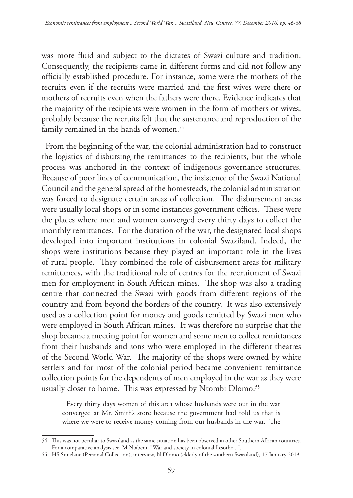was more fluid and subject to the dictates of Swazi culture and tradition. Consequently, the recipients came in different forms and did not follow any officially established procedure. For instance, some were the mothers of the recruits even if the recruits were married and the first wives were there or mothers of recruits even when the fathers were there. Evidence indicates that the majority of the recipients were women in the form of mothers or wives, probably because the recruits felt that the sustenance and reproduction of the family remained in the hands of women.<sup>54</sup>

From the beginning of the war, the colonial administration had to construct the logistics of disbursing the remittances to the recipients, but the whole process was anchored in the context of indigenous governance structures. Because of poor lines of communication, the insistence of the Swazi National Council and the general spread of the homesteads, the colonial administration was forced to designate certain areas of collection. The disbursement areas were usually local shops or in some instances government offices. These were the places where men and women converged every thirty days to collect the monthly remittances. For the duration of the war, the designated local shops developed into important institutions in colonial Swaziland. Indeed, the shops were institutions because they played an important role in the lives of rural people. They combined the role of disbursement areas for military remittances, with the traditional role of centres for the recruitment of Swazi men for employment in South African mines. The shop was also a trading centre that connected the Swazi with goods from different regions of the country and from beyond the borders of the country. It was also extensively used as a collection point for money and goods remitted by Swazi men who were employed in South African mines. It was therefore no surprise that the shop became a meeting point for women and some men to collect remittances from their husbands and sons who were employed in the different theatres of the Second World War. The majority of the shops were owned by white settlers and for most of the colonial period became convenient remittance collection points for the dependents of men employed in the war as they were usually closer to home. This was expressed by Ntombi Dlomo:<sup>55</sup>

Every thirty days women of this area whose husbands were out in the war converged at Mr. Smith's store because the government had told us that is where we were to receive money coming from our husbands in the war. The

<sup>54</sup> This was not peculiar to Swaziland as the same situation has been observed in other Southern African countries. For a comparative analysis see, M Ntabeni, "War and society in colonial Lesotho...".

<sup>55</sup> HS Simelane (Personal Collection), interview, N Dlomo (elderly of the southern Swaziland), 17 January 2013.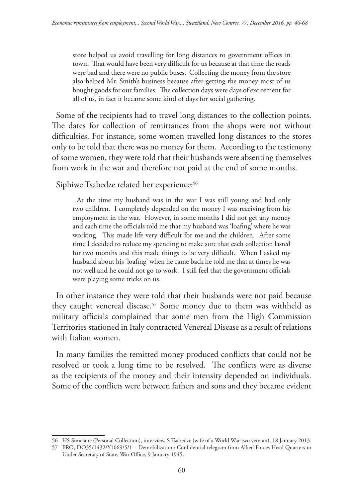store helped us avoid travelling for long distances to government offices in town. That would have been very difficult for us because at that time the roads were bad and there were no public buses. Collecting the money from the store also helped Mr. Smith's business because after getting the money most of us bought goods for our families. The collection days were days of excitement for all of us, in fact it became some kind of days for social gathering.

Some of the recipients had to travel long distances to the collection points. The dates for collection of remittances from the shops were not without difficulties. For instance, some women travelled long distances to the stores only to be told that there was no money for them. According to the testimony of some women, they were told that their husbands were absenting themselves from work in the war and therefore not paid at the end of some months.

Siphiwe Tsabedze related her experience:<sup>56</sup>

At the time my husband was in the war I was still young and had only two children. I completely depended on the money I was receiving from his employment in the war. However, in some months I did not get any money and each time the officials told me that my husband was 'loafing' where he was working. This made life very difficult for me and the children. After some time I decided to reduce my spending to make sure that each collection lasted for two months and this made things to be very difficult. When I asked my husband about his 'loafing' when he came back he told me that at times he was not well and he could not go to work. I still feel that the government officials were playing some tricks on us.

In other instance they were told that their husbands were not paid because they caught venereal disease.<sup>57</sup> Some money due to them was withheld as military officials complained that some men from the High Commission Territories stationed in Italy contracted Venereal Disease as a result of relations with Italian women.

In many families the remitted money produced conflicts that could not be resolved or took a long time to be resolved. The conflicts were as diverse as the recipients of the money and their intensity depended on individuals. Some of the conflicts were between fathers and sons and they became evident

<sup>56</sup> HS Simelane (Personal Collection), interview, S Tsabedze (wife of a World War two veteran), 18 January 2013.

<sup>57</sup> PRO, DO35/1432/Y1069/5/1 – Demobilization: Confidential telegram from Allied Forces Head Quarters to Under Secretary of State, War Office, 9 January 1945.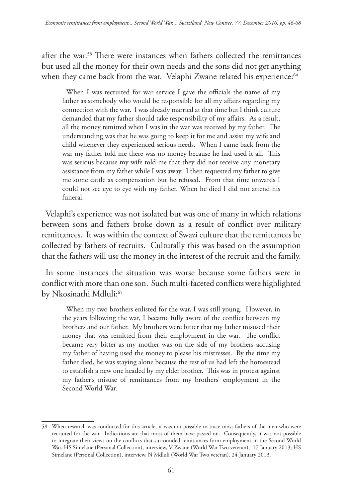after the war.58 There were instances when fathers collected the remittances but used all the money for their own needs and the sons did not get anything when they came back from the war. Velaphi Zwane related his experience:<sup>64</sup>

When I was recruited for war service I gave the officials the name of my father as somebody who would be responsible for all my affairs regarding my connection with the war. I was already married at that time but I think culture demanded that my father should take responsibility of my affairs. As a result, all the money remitted when I was in the war was received by my father. The understanding was that he was going to keep it for me and assist my wife and child whenever they experienced serious needs. When I came back from the war my father told me there was no money because he had used it all. This was serious because my wife told me that they did not receive any monetary assistance from my father while I was away. I then requested my father to give me some cattle as compensation but he refused. From that time onwards I could not see eye to eye with my father. When he died I did not attend his funeral.

Velaphi's experience was not isolated but was one of many in which relations between sons and fathers broke down as a result of conflict over military remittances. It was within the context of Swazi culture that the remittances be collected by fathers of recruits. Culturally this was based on the assumption that the fathers will use the money in the interest of the recruit and the family.

In some instances the situation was worse because some fathers were in conflict with more than one son. Such multi-faceted conflicts were highlighted by Nkosinathi Mdluli:<sup>65</sup>

When my two brothers enlisted for the war, I was still young. However, in the years following the war, I became fully aware of the conflict between my brothers and our father. My brothers were bitter that my father misused their money that was remitted from their employment in the war. The conflict became very bitter as my mother was on the side of my brothers accusing my father of having used the money to please his mistresses. By the time my father died, he was staying alone because the rest of us had left the homestead to establish a new one headed by my elder brother. This was in protest against my father's misuse of remittances from my brothers' employment in the Second World War.

<sup>58</sup> When research was conducted for this article, it was not possible to trace most fathers of the men who were recruited for the war. Indications are that most of them have passed on. Consequently, it was not possible to integrate their views on the conflicts that surrounded remittances form employment in the Second World War. HS Simelane (Personal Collection), interview, V Zwane (World War Two veteran), 17 January 2013; HS Simelane (Personal Collection), interview, N Mdluli (World War Two veteran), 24 January 2013.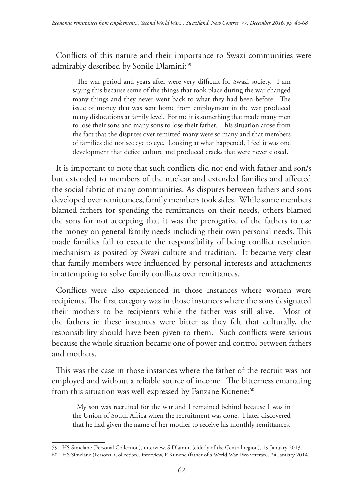Conflicts of this nature and their importance to Swazi communities were admirably described by Sonile Dlamini:<sup>59</sup>

The war period and years after were very difficult for Swazi society. I am saying this because some of the things that took place during the war changed many things and they never went back to what they had been before. The issue of money that was sent home from employment in the war produced many dislocations at family level. For me it is something that made many men to lose their sons and many sons to lose their father. This situation arose from the fact that the disputes over remitted many were so many and that members of families did not see eye to eye. Looking at what happened, I feel it was one development that defied culture and produced cracks that were never closed.

It is important to note that such conflicts did not end with father and son/s but extended to members of the nuclear and extended families and affected the social fabric of many communities. As disputes between fathers and sons developed over remittances, family members took sides. While some members blamed fathers for spending the remittances on their needs, others blamed the sons for not accepting that it was the prerogative of the fathers to use the money on general family needs including their own personal needs. This made families fail to execute the responsibility of being conflict resolution mechanism as posited by Swazi culture and tradition. It became very clear that family members were influenced by personal interests and attachments in attempting to solve family conflicts over remittances.

Conflicts were also experienced in those instances where women were recipients. The first category was in those instances where the sons designated their mothers to be recipients while the father was still alive. Most of the fathers in these instances were bitter as they felt that culturally, the responsibility should have been given to them. Such conflicts were serious because the whole situation became one of power and control between fathers and mothers.

This was the case in those instances where the father of the recruit was not employed and without a reliable source of income. The bitterness emanating from this situation was well expressed by Fanzane Kunene:<sup>60</sup>

My son was recruited for the war and I remained behind because I was in the Union of South Africa when the recruitment was done. I later discovered that he had given the name of her mother to receive his monthly remittances.

<sup>59</sup> HS Simelane (Personal Collection), interview, S Dlamini (elderly of the Central region), 19 January 2013.

<sup>60</sup> HS Simelane (Personal Collection), interview, F Kunene (father of a World War Two veteran), 24 January 2014.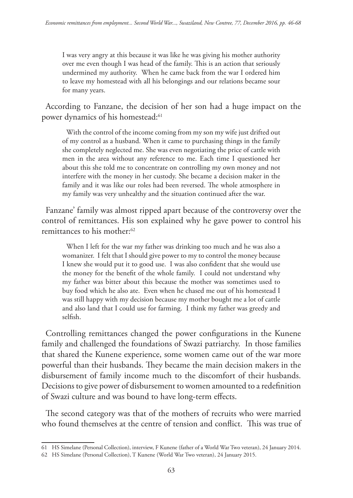I was very angry at this because it was like he was giving his mother authority over me even though I was head of the family. This is an action that seriously undermined my authority. When he came back from the war I ordered him to leave my homestead with all his belongings and our relations became sour for many years.

According to Fanzane, the decision of her son had a huge impact on the power dynamics of his homestead:<sup>61</sup>

With the control of the income coming from my son my wife just drifted out of my control as a husband. When it came to purchasing things in the family she completely neglected me. She was even negotiating the price of cattle with men in the area without any reference to me. Each time I questioned her about this she told me to concentrate on controlling my own money and not interfere with the money in her custody. She became a decision maker in the family and it was like our roles had been reversed. The whole atmosphere in my family was very unhealthy and the situation continued after the war.

Fanzane' family was almost ripped apart because of the controversy over the control of remittances. His son explained why he gave power to control his remittances to his mother:<sup>62</sup>

When I left for the war my father was drinking too much and he was also a womanizer. I felt that I should give power to my to control the money because I knew she would put it to good use. I was also confident that she would use the money for the benefit of the whole family. I could not understand why my father was bitter about this because the mother was sometimes used to buy food which he also ate. Even when he chased me out of his homestead I was still happy with my decision because my mother bought me a lot of cattle and also land that I could use for farming. I think my father was greedy and selfish.

Controlling remittances changed the power configurations in the Kunene family and challenged the foundations of Swazi patriarchy. In those families that shared the Kunene experience, some women came out of the war more powerful than their husbands. They became the main decision makers in the disbursement of family income much to the discomfort of their husbands. Decisions to give power of disbursement to women amounted to a redefinition of Swazi culture and was bound to have long-term effects.

The second category was that of the mothers of recruits who were married who found themselves at the centre of tension and conflict. This was true of

<sup>61</sup> HS Simelane (Personal Collection), interview, F Kunene (father of a World War Two veteran), 24 January 2014.

<sup>62</sup> HS Simelane (Personal Collection), T Kunene (World War Two veteran), 24 January 2015.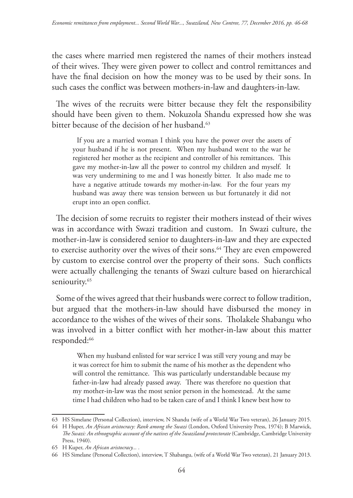the cases where married men registered the names of their mothers instead of their wives. They were given power to collect and control remittances and have the final decision on how the money was to be used by their sons. In such cases the conflict was between mothers-in-law and daughters-in-law.

The wives of the recruits were bitter because they felt the responsibility should have been given to them. Nokuzola Shandu expressed how she was bitter because of the decision of her husband.<sup>63</sup>

If you are a married woman I think you have the power over the assets of your husband if he is not present. When my husband went to the war he registered her mother as the recipient and controller of his remittances. This gave my mother-in-law all the power to control my children and myself. It was very undermining to me and I was honestly bitter. It also made me to have a negative attitude towards my mother-in-law. For the four years my husband was away there was tension between us but fortunately it did not erupt into an open conflict.

The decision of some recruits to register their mothers instead of their wives was in accordance with Swazi tradition and custom. In Swazi culture, the mother-in-law is considered senior to daughters-in-law and they are expected to exercise authority over the wives of their sons.<sup>64</sup> They are even empowered by custom to exercise control over the property of their sons. Such conflicts were actually challenging the tenants of Swazi culture based on hierarchical seniourity.<sup>65</sup>

Some of the wives agreed that their husbands were correct to follow tradition, but argued that the mothers-in-law should have disbursed the money in accordance to the wishes of the wives of their sons. Tholakele Shabangu who was involved in a bitter conflict with her mother-in-law about this matter responded:<sup>66</sup>

When my husband enlisted for war service I was still very young and may be it was correct for him to submit the name of his mother as the dependent who will control the remittance. This was particularly understandable because my father-in-law had already passed away. There was therefore no question that my mother-in-law was the most senior person in the homestead. At the same time I had children who had to be taken care of and I think I knew best how to

<sup>63</sup> HS Simelane (Personal Collection), interview, N Shandu (wife of a World War Two veteran), 26 January 2015.

<sup>64</sup> H Huper, *An African aristocracy: Rank among the Swazi* (London, Oxford University Press, 1974); B Marwick, *The Swazi: An ethnographic account of the natives of the Swaziland protectorate* (Cambridge, Cambridge University Press, 1940).

<sup>65</sup> H Kuper, *An African aristocracy... .*

<sup>66</sup> HS Simelane (Personal Collection), interview, T Shabangu, (wife of a World War Two veteran), 21 January 2013.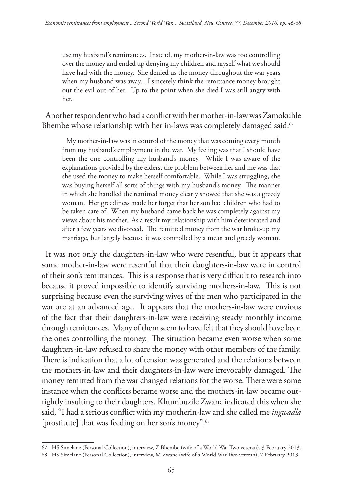use my husband's remittances. Instead, my mother-in-law was too controlling over the money and ended up denying my children and myself what we should have had with the money. She denied us the money throughout the war years when my husband was away... I sincerely think the remittance money brought out the evil out of her. Up to the point when she died I was still angry with her.

Another respondent who had a conflict with her mother-in-law was Zamokuhle Bhembe whose relationship with her in-laws was completely damaged said:<sup>67</sup>

My mother-in-law was in control of the money that was coming every month from my husband's employment in the war. My feeling was that I should have been the one controlling my husband's money. While I was aware of the explanations provided by the elders, the problem between her and me was that she used the money to make herself comfortable. While I was struggling, she was buying herself all sorts of things with my husband's money. The manner in which she handled the remitted money clearly showed that she was a greedy woman. Her greediness made her forget that her son had children who had to be taken care of. When my husband came back he was completely against my views about his mother. As a result my relationship with him deteriorated and after a few years we divorced. The remitted money from the war broke-up my marriage, but largely because it was controlled by a mean and greedy woman.

It was not only the daughters-in-law who were resentful, but it appears that some mother-in-law were resentful that their daughters-in-law were in control of their son's remittances. This is a response that is very difficult to research into because it proved impossible to identify surviving mothers-in-law. This is not surprising because even the surviving wives of the men who participated in the war are at an advanced age. It appears that the mothers-in-law were envious of the fact that their daughters-in-law were receiving steady monthly income through remittances. Many of them seem to have felt that they should have been the ones controlling the money. The situation became even worse when some daughters-in-law refused to share the money with other members of the family. There is indication that a lot of tension was generated and the relations between the mothers-in-law and their daughters-in-law were irrevocably damaged. The money remitted from the war changed relations for the worse. There were some instance when the conflicts became worse and the mothers-in-law became outrightly insulting to their daughters. Khumbuzile Zwane indicated this when she said, "I had a serious conflict with my motherin-law and she called me *ingwadla*  [prostitute] that was feeding on her son's money".68

<sup>67</sup> HS Simelane (Personal Collection), interview, Z Bhembe (wife of a World War Two veteran), 3 February 2013.

<sup>68</sup> HS Simelane (Personal Collection), interview, M Zwane (wife of a World War Two veteran), 7 February 2013.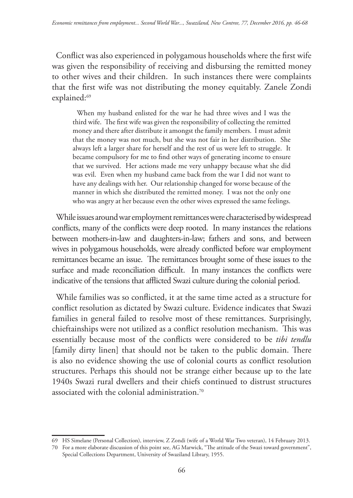Conflict was also experienced in polygamous households where the first wife was given the responsibility of receiving and disbursing the remitted money to other wives and their children. In such instances there were complaints that the first wife was not distributing the money equitably. Zanele Zondi explained:<sup>69</sup>

When my husband enlisted for the war he had three wives and I was the third wife. The first wife was given the responsibility of collecting the remitted money and there after distribute it amongst the family members. I must admit that the money was not much, but she was not fair in her distribution. She always left a larger share for herself and the rest of us were left to struggle. It became compulsory for me to find other ways of generating income to ensure that we survived. Her actions made me very unhappy because what she did was evil. Even when my husband came back from the war I did not want to have any dealings with her. Our relationship changed for worse because of the manner in which she distributed the remitted money. I was not the only one who was angry at her because even the other wives expressed the same feelings.

While issues around war employment remittances were characterised by widespread conflicts, many of the conflicts were deep rooted. In many instances the relations between mothers-in-law and daughters-in-law; fathers and sons, and between wives in polygamous households, were already conflicted before war employment remittances became an issue. The remittances brought some of these issues to the surface and made reconciliation difficult. In many instances the conflicts were indicative of the tensions that afflicted Swazi culture during the colonial period.

While families was so conflicted, it at the same time acted as a structure for conflict resolution as dictated by Swazi culture. Evidence indicates that Swazi families in general failed to resolve most of these remittances. Surprisingly, chieftainships were not utilized as a conflict resolution mechanism. This was essentially because most of the conflicts were considered to be *tibi tendlu* [family dirty linen] that should not be taken to the public domain. There is also no evidence showing the use of colonial courts as conflict resolution structures. Perhaps this should not be strange either because up to the late 1940s Swazi rural dwellers and their chiefs continued to distrust structures associated with the colonial administration.70

<sup>69</sup> HS Simelane (Personal Collection), interview, Z Zondi (wife of a World War Two veteran), 14 February 2013.

<sup>70</sup> For a more elaborate discussion of this point see, AG Marwick, "The attitude of the Swazi toward government", Special Collections Department, University of Swaziland Library, 1955.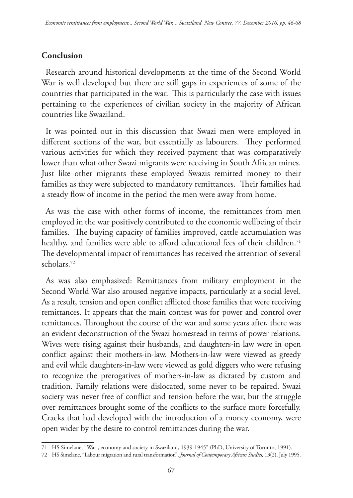## **Conclusion**

Research around historical developments at the time of the Second World War is well developed but there are still gaps in experiences of some of the countries that participated in the war. This is particularly the case with issues pertaining to the experiences of civilian society in the majority of African countries like Swaziland.

It was pointed out in this discussion that Swazi men were employed in different sections of the war, but essentially as labourers. They performed various activities for which they received payment that was comparatively lower than what other Swazi migrants were receiving in South African mines. Just like other migrants these employed Swazis remitted money to their families as they were subjected to mandatory remittances. Their families had a steady flow of income in the period the men were away from home.

As was the case with other forms of income, the remittances from men employed in the war positively contributed to the economic wellbeing of their families. The buying capacity of families improved, cattle accumulation was healthy, and families were able to afford educational fees of their children.<sup>71</sup> The developmental impact of remittances has received the attention of several scholars.72

As was also emphasized: Remittances from military employment in the Second World War also aroused negative impacts, particularly at a social level. As a result, tension and open conflict afflicted those families that were receiving remittances. It appears that the main contest was for power and control over remittances. Throughout the course of the war and some years after, there was an evident deconstruction of the Swazi homestead in terms of power relations. Wives were rising against their husbands, and daughters-in law were in open conflict against their mothers-in-law. Mothers-in-law were viewed as greedy and evil while daughters-in-law were viewed as gold diggers who were refusing to recognize the prerogatives of mothers-in-law as dictated by custom and tradition. Family relations were dislocated, some never to be repaired. Swazi society was never free of conflict and tension before the war, but the struggle over remittances brought some of the conflicts to the surface more forcefully. Cracks that had developed with the introduction of a money economy, were open wider by the desire to control remittances during the war.

<sup>71</sup> HS Simelane, "War , economy and society in Swaziland, 1939-1945" (PhD, University of Toronto, 1991).

<sup>72</sup> HS Simelane, "Labour migration and rural transformation", *Journal of Contemporary African Studies,* 13(2), July 1995.